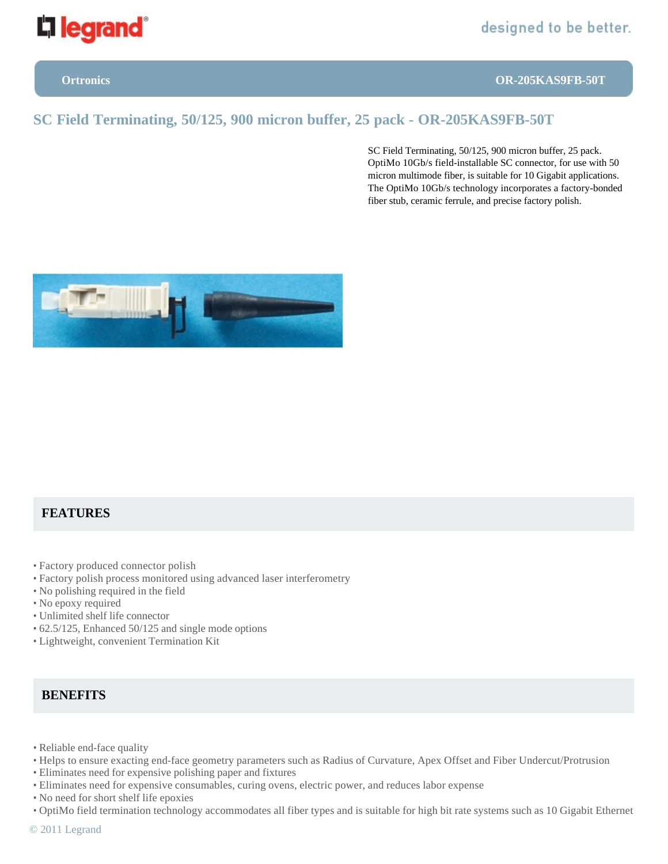

**Ortronics OR-205KAS9FB-50T**

# **SC Field Terminating, 50/125, 900 micron buffer, 25 pack - OR-205KAS9FB-50T**

SC Field Terminating, 50/125, 900 micron buffer, 25 pack. OptiMo 10Gb/s field-installable SC connector, for use with 50 micron multimode fiber, is suitable for 10 Gigabit applications. The OptiMo 10Gb/s technology incorporates a factory-bonded fiber stub, ceramic ferrule, and precise factory polish.



## **FEATURES**

- Factory produced connector polish
- Factory polish process monitored using advanced laser interferometry
- No polishing required in the field
- No epoxy required
- Unlimited shelf life connector
- 62.5/125, Enhanced 50/125 and single mode options
- Lightweight, convenient Termination Kit

### **BENEFITS**

- Reliable end-face quality
- Helps to ensure exacting end-face geometry parameters such as Radius of Curvature, Apex Offset and Fiber Undercut/Protrusion
- Eliminates need for expensive polishing paper and fixtures
- Eliminates need for expensive consumables, curing ovens, electric power, and reduces labor expense
- No need for short shelf life epoxies
- OptiMo field termination technology accommodates all fiber types and is suitable for high bit rate systems such as 10 Gigabit Ethernet